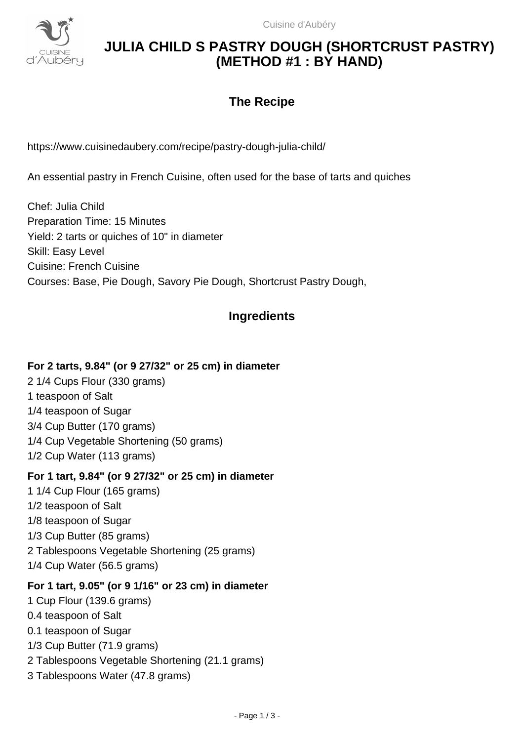

# **JULIA CHILD S PASTRY DOUGH (SHORTCRUST PASTRY) (METHOD #1 : BY HAND)**

## **The Recipe**

https://www.cuisinedaubery.com/recipe/pastry-dough-julia-child/

An essential pastry in French Cuisine, often used for the base of tarts and quiches

Chef: Julia Child Preparation Time: 15 Minutes Yield: 2 tarts or quiches of 10" in diameter Skill: Easy Level Cuisine: French Cuisine Courses: Base, Pie Dough, Savory Pie Dough, Shortcrust Pastry Dough,

# **Ingredients**

## **For 2 tarts, 9.84" (or 9 27/32" or 25 cm) in diameter**

2 1/4 Cups Flour (330 grams) 1 teaspoon of Salt 1/4 teaspoon of Sugar 3/4 Cup Butter (170 grams) 1/4 Cup Vegetable Shortening (50 grams) 1/2 Cup Water (113 grams)

## **For 1 tart, 9.84" (or 9 27/32" or 25 cm) in diameter**

1 1/4 Cup Flour (165 grams) 1/2 teaspoon of Salt 1/8 teaspoon of Sugar 1/3 Cup Butter (85 grams) 2 Tablespoons Vegetable Shortening (25 grams) 1/4 Cup Water (56.5 grams)

## **For 1 tart, 9.05" (or 9 1/16" or 23 cm) in diameter**

1 Cup Flour (139.6 grams) 0.4 teaspoon of Salt 0.1 teaspoon of Sugar 1/3 Cup Butter (71.9 grams) 2 Tablespoons Vegetable Shortening (21.1 grams) 3 Tablespoons Water (47.8 grams)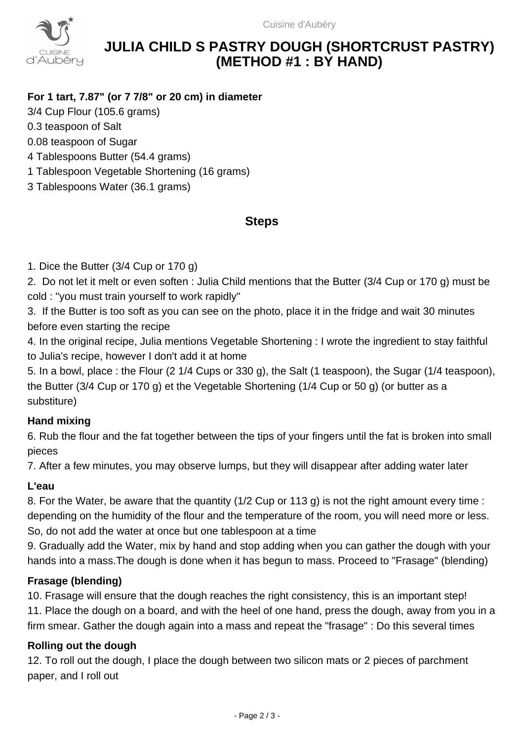

# **JULIA CHILD S PASTRY DOUGH (SHORTCRUST PASTRY) (METHOD #1 : BY HAND)**

## **For 1 tart, 7.87" (or 7 7/8" or 20 cm) in diameter**

- 3/4 Cup Flour (105.6 grams)
- 0.3 teaspoon of Salt
- 0.08 teaspoon of Sugar
- 4 Tablespoons Butter (54.4 grams)
- 1 Tablespoon Vegetable Shortening (16 grams)
- 3 Tablespoons Water (36.1 grams)

## **Steps**

1. Dice the Butter (3/4 Cup or 170 g)

2. Do not let it melt or even soften : Julia Child mentions that the Butter (3/4 Cup or 170 g) must be cold : "you must train yourself to work rapidly"

3. If the Butter is too soft as you can see on the photo, place it in the fridge and wait 30 minutes before even starting the recipe

4. In the original recipe, Julia mentions Vegetable Shortening : I wrote the ingredient to stay faithful to Julia's recipe, however I don't add it at home

5. In a bowl, place : the Flour (2 1/4 Cups or 330 g), the Salt (1 teaspoon), the Sugar (1/4 teaspoon), the Butter (3/4 Cup or 170 g) et the Vegetable Shortening (1/4 Cup or 50 g) (or butter as a substiture)

### **Hand mixing**

6. Rub the flour and the fat together between the tips of your fingers until the fat is broken into small pieces

7. After a few minutes, you may observe lumps, but they will disappear after adding water later

### **L'eau**

8. For the Water, be aware that the quantity (1/2 Cup or 113 g) is not the right amount every time : depending on the humidity of the flour and the temperature of the room, you will need more or less. So, do not add the water at once but one tablespoon at a time

9. Gradually add the Water, mix by hand and stop adding when you can gather the dough with your hands into a mass.The dough is done when it has begun to mass. Proceed to "Frasage" (blending)

### **Frasage (blending)**

10. Frasage will ensure that the dough reaches the right consistency, this is an important step! 11. Place the dough on a board, and with the heel of one hand, press the dough, away from you in a firm smear. Gather the dough again into a mass and repeat the "frasage" : Do this several times

### **Rolling out the dough**

12. To roll out the dough, I place the dough between two silicon mats or 2 pieces of parchment paper, and I roll out